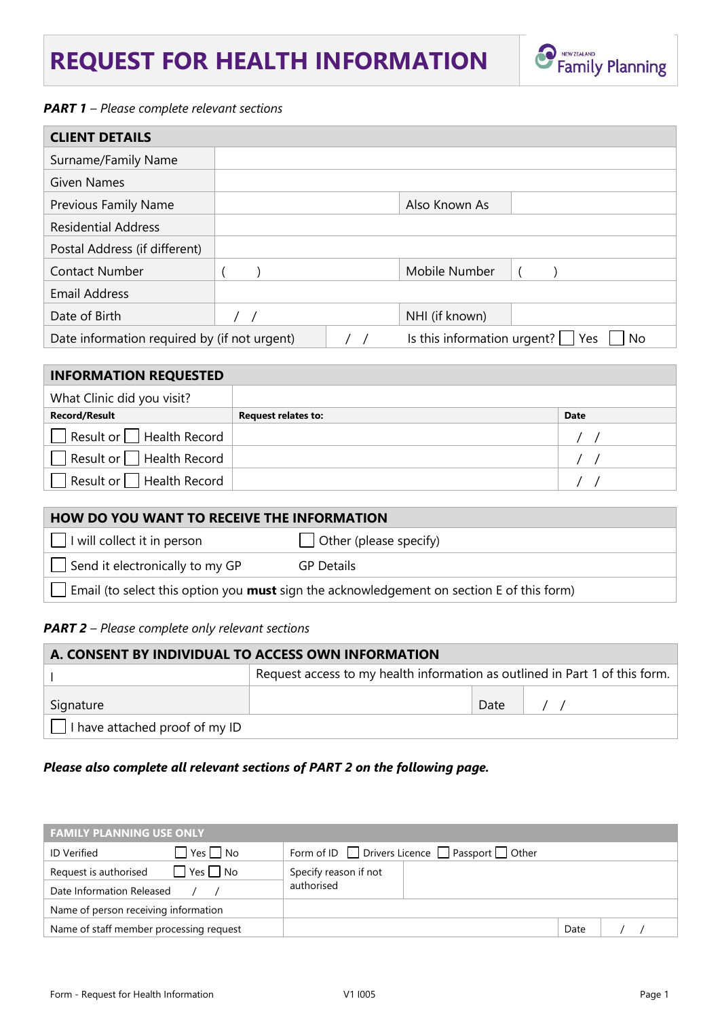# **REQUEST FOR HEALTH INFORMATION**



### *PART 1 – Please complete relevant sections*

| <b>CLIENT DETAILS</b>                        |  |  |                                    |    |
|----------------------------------------------|--|--|------------------------------------|----|
| Surname/Family Name                          |  |  |                                    |    |
| <b>Given Names</b>                           |  |  |                                    |    |
| <b>Previous Family Name</b>                  |  |  | Also Known As                      |    |
| <b>Residential Address</b>                   |  |  |                                    |    |
| Postal Address (if different)                |  |  |                                    |    |
| <b>Contact Number</b>                        |  |  | Mobile Number                      |    |
| <b>Email Address</b>                         |  |  |                                    |    |
| Date of Birth                                |  |  | NHI (if known)                     |    |
| Date information required by (if not urgent) |  |  | Is this information urgent?<br>Yes | No |

| <b>INFORMATION REQUESTED</b>          |                            |             |  |
|---------------------------------------|----------------------------|-------------|--|
| What Clinic did you visit?            |                            |             |  |
| <b>Record/Result</b>                  | <b>Request relates to:</b> | <b>Date</b> |  |
| $\Box$ Result or $\Box$ Health Record |                            |             |  |
| $\Box$ Result or $\Box$ Health Record |                            |             |  |
| ■ Result or Health Record             |                            |             |  |

| HOW DO YOU WANT TO RECEIVE THE INFORMATION                                                       |                               |  |  |
|--------------------------------------------------------------------------------------------------|-------------------------------|--|--|
| I will collect it in person                                                                      | $\Box$ Other (please specify) |  |  |
| Send it electronically to my GP                                                                  | <b>GP</b> Details             |  |  |
| Email (to select this option you <b>must</b> sign the acknowledgement on section E of this form) |                               |  |  |

#### *PART 2 – Please complete only relevant sections*

| A. CONSENT BY INDIVIDUAL TO ACCESS OWN INFORMATION |                                                                             |      |  |  |
|----------------------------------------------------|-----------------------------------------------------------------------------|------|--|--|
|                                                    | Request access to my health information as outlined in Part 1 of this form. |      |  |  |
| Signature                                          |                                                                             | Date |  |  |
| $\vert$   I have attached proof of my ID           |                                                                             |      |  |  |

### *Please also complete all relevant sections of PART 2 on the following page.*

| <b>FAMILY PLANNING USE ONLY</b>                            |                                                                |      |  |  |
|------------------------------------------------------------|----------------------------------------------------------------|------|--|--|
| $\blacksquare$ Yes $\blacksquare$ No<br><b>ID Verified</b> | Form of ID $\Box$ Drivers Licence $\Box$ Passport $\Box$ Other |      |  |  |
| Yes     No<br>Request is authorised                        | Specify reason if not                                          |      |  |  |
| Date Information Released                                  | authorised                                                     |      |  |  |
| Name of person receiving information                       |                                                                |      |  |  |
| Name of staff member processing request                    |                                                                | Date |  |  |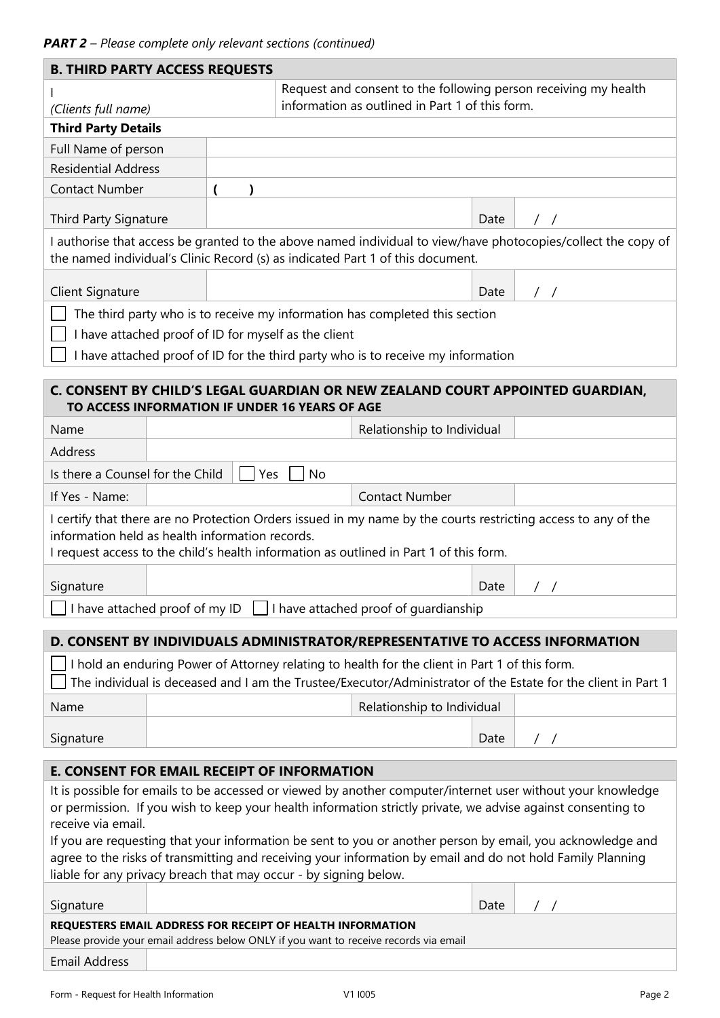| <b>B. THIRD PARTY ACCESS REQUESTS</b>                                                                                                                                                                                    |  |                                                                 |                                                                                  |      |                                                                                                                |
|--------------------------------------------------------------------------------------------------------------------------------------------------------------------------------------------------------------------------|--|-----------------------------------------------------------------|----------------------------------------------------------------------------------|------|----------------------------------------------------------------------------------------------------------------|
|                                                                                                                                                                                                                          |  | Request and consent to the following person receiving my health |                                                                                  |      |                                                                                                                |
| (Clients full name)                                                                                                                                                                                                      |  |                                                                 | information as outlined in Part 1 of this form.                                  |      |                                                                                                                |
| <b>Third Party Details</b>                                                                                                                                                                                               |  |                                                                 |                                                                                  |      |                                                                                                                |
| Full Name of person                                                                                                                                                                                                      |  |                                                                 |                                                                                  |      |                                                                                                                |
| <b>Residential Address</b>                                                                                                                                                                                               |  |                                                                 |                                                                                  |      |                                                                                                                |
| <b>Contact Number</b>                                                                                                                                                                                                    |  |                                                                 |                                                                                  |      |                                                                                                                |
| <b>Third Party Signature</b>                                                                                                                                                                                             |  |                                                                 |                                                                                  | Date | $\prime$ /                                                                                                     |
|                                                                                                                                                                                                                          |  |                                                                 |                                                                                  |      | I authorise that access be granted to the above named individual to view/have photocopies/collect the copy of  |
| the named individual's Clinic Record (s) as indicated Part 1 of this document.                                                                                                                                           |  |                                                                 |                                                                                  |      |                                                                                                                |
| Client Signature                                                                                                                                                                                                         |  |                                                                 |                                                                                  | Date | $\frac{1}{2}$                                                                                                  |
|                                                                                                                                                                                                                          |  |                                                                 | The third party who is to receive my information has completed this section      |      |                                                                                                                |
| I have attached proof of ID for myself as the client                                                                                                                                                                     |  |                                                                 |                                                                                  |      |                                                                                                                |
|                                                                                                                                                                                                                          |  |                                                                 | I have attached proof of ID for the third party who is to receive my information |      |                                                                                                                |
|                                                                                                                                                                                                                          |  |                                                                 |                                                                                  |      |                                                                                                                |
| TO ACCESS INFORMATION IF UNDER 16 YEARS OF AGE                                                                                                                                                                           |  |                                                                 |                                                                                  |      | C. CONSENT BY CHILD'S LEGAL GUARDIAN OR NEW ZEALAND COURT APPOINTED GUARDIAN,                                  |
| Name                                                                                                                                                                                                                     |  |                                                                 | Relationship to Individual                                                       |      |                                                                                                                |
| Address                                                                                                                                                                                                                  |  |                                                                 |                                                                                  |      |                                                                                                                |
| Is there a Counsel for the Child                                                                                                                                                                                         |  | Yes<br>No                                                       |                                                                                  |      |                                                                                                                |
| If Yes - Name:                                                                                                                                                                                                           |  |                                                                 | <b>Contact Number</b>                                                            |      |                                                                                                                |
|                                                                                                                                                                                                                          |  |                                                                 |                                                                                  |      | I certify that there are no Protection Orders issued in my name by the courts restricting access to any of the |
| information held as health information records.                                                                                                                                                                          |  |                                                                 |                                                                                  |      |                                                                                                                |
| I request access to the child's health information as outlined in Part 1 of this form.                                                                                                                                   |  |                                                                 |                                                                                  |      |                                                                                                                |
| Signature                                                                                                                                                                                                                |  |                                                                 |                                                                                  | Date |                                                                                                                |
| $\Box$ I have attached proof of my ID $\Box$ I have attached proof of guardianship                                                                                                                                       |  |                                                                 |                                                                                  |      |                                                                                                                |
|                                                                                                                                                                                                                          |  |                                                                 |                                                                                  |      |                                                                                                                |
|                                                                                                                                                                                                                          |  |                                                                 |                                                                                  |      | D. CONSENT BY INDIVIDUALS ADMINISTRATOR/REPRESENTATIVE TO ACCESS INFORMATION                                   |
| I hold an enduring Power of Attorney relating to health for the client in Part 1 of this form.<br>The individual is deceased and I am the Trustee/Executor/Administrator of the Estate for the client in Part 1          |  |                                                                 |                                                                                  |      |                                                                                                                |
|                                                                                                                                                                                                                          |  |                                                                 |                                                                                  |      |                                                                                                                |
| Name                                                                                                                                                                                                                     |  |                                                                 | Relationship to Individual                                                       |      |                                                                                                                |
| Signature                                                                                                                                                                                                                |  |                                                                 |                                                                                  | Date | $\frac{1}{2}$                                                                                                  |
| <b>E. CONSENT FOR EMAIL RECEIPT OF INFORMATION</b>                                                                                                                                                                       |  |                                                                 |                                                                                  |      |                                                                                                                |
| It is possible for emails to be accessed or viewed by another computer/internet user without your knowledge                                                                                                              |  |                                                                 |                                                                                  |      |                                                                                                                |
| or permission. If you wish to keep your health information strictly private, we advise against consenting to                                                                                                             |  |                                                                 |                                                                                  |      |                                                                                                                |
| receive via email.                                                                                                                                                                                                       |  |                                                                 |                                                                                  |      |                                                                                                                |
| If you are requesting that your information be sent to you or another person by email, you acknowledge and<br>agree to the risks of transmitting and receiving your information by email and do not hold Family Planning |  |                                                                 |                                                                                  |      |                                                                                                                |
| liable for any privacy breach that may occur - by signing below.                                                                                                                                                         |  |                                                                 |                                                                                  |      |                                                                                                                |
| Signature                                                                                                                                                                                                                |  |                                                                 |                                                                                  | Date |                                                                                                                |
|                                                                                                                                                                                                                          |  |                                                                 |                                                                                  |      |                                                                                                                |
| REQUESTERS EMAIL ADDRESS FOR RECEIPT OF HEALTH INFORMATION<br>Please provide your email address below ONLY if you want to receive records via email                                                                      |  |                                                                 |                                                                                  |      |                                                                                                                |
| <b>Email Address</b>                                                                                                                                                                                                     |  |                                                                 |                                                                                  |      |                                                                                                                |